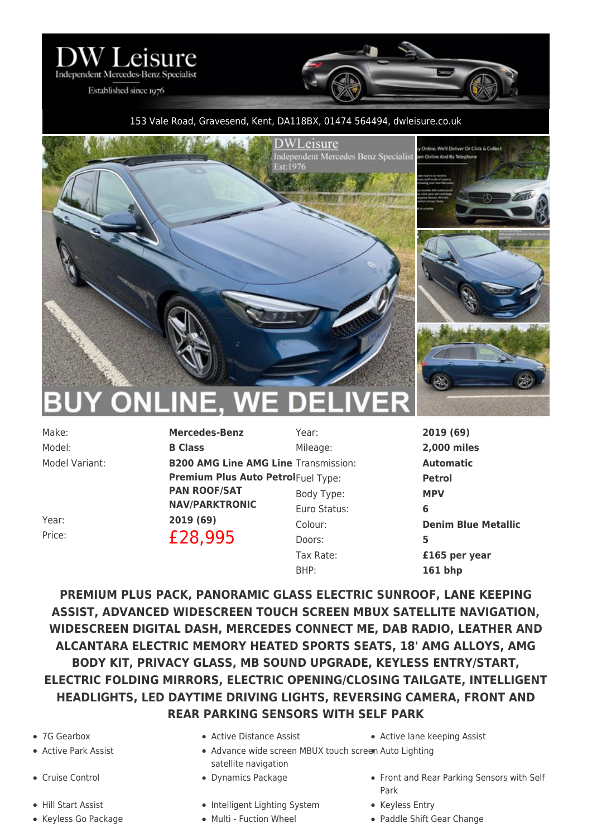

Established since 1976

## 153 Vale Road, Gravesend, Kent, DA118BX, 01474 564494, [dwleisure.co.uk](https://www.dwleisure.co.uk)



**NLIN** 

Model: **B Class**

Make: **Mercedes-Benz** Model Variant: **B200 AMG Line AMG Line** Transmission: **Automatic Premium Plus Auto Petrol**Fuel Type: **Petrol PAN ROOF/SAT NAV/PARKTRONIC** Year: **2019 (69)** Price: **£28,995** 

Mileage: **2,000 miles** Body Type: **MPV** Euro Status: **6** Doors: **5** Tax Rate: **£165 per year** BHP: **161 bhp**

Year: **2019 (69)** Colour: **Denim Blue Metallic**

**PREMIUM PLUS PACK, PANORAMIC GLASS ELECTRIC SUNROOF, LANE KEEPING ASSIST, ADVANCED WIDESCREEN TOUCH SCREEN MBUX SATELLITE NAVIGATION, WIDESCREEN DIGITAL DASH, MERCEDES CONNECT ME, DAB RADIO, LEATHER AND ALCANTARA ELECTRIC MEMORY HEATED SPORTS SEATS, 18' AMG ALLOYS, AMG BODY KIT, PRIVACY GLASS, MB SOUND UPGRADE, KEYLESS ENTRY/START, ELECTRIC FOLDING MIRRORS, ELECTRIC OPENING/CLOSING TAILGATE, INTELLIGENT HEADLIGHTS, LED DAYTIME DRIVING LIGHTS, REVERSING CAMERA, FRONT AND REAR PARKING SENSORS WITH SELF PARK**

- 
- 
- 
- 
- 
- Active Park Assist Advance wide screen MBUX touch screen Auto Lighting satellite navigation
	-
- Hill Start Assist **Intelligent Lighting System** Keyless Entry
	-
- 7G Gearbox Active Distance Assist Active lane keeping Assist
- Cruise Control Dynamics Package Front and Rear Parking Sensors with Self Park
	-
- Keyless Go Package Multi Fuction Wheel Paddle Shift Gear Change